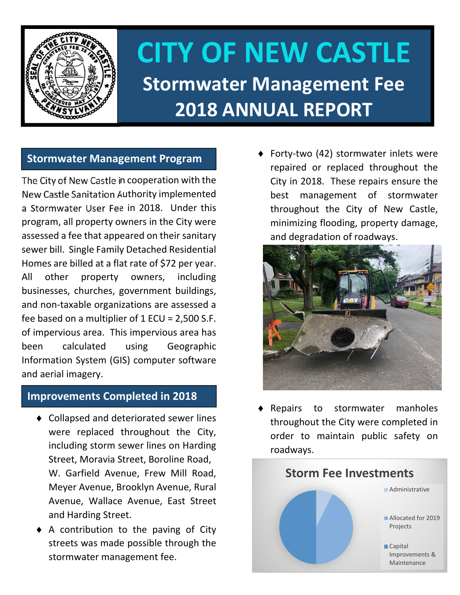

# **CITY OF NEW CASTLE Stormwater Management Fee 2018 ANNUAL REPORT**

## **Stormwater Management Program**

The City of New Castle in cooperation with the New Castle Sanitation Authority implemented a Stormwater User Fee in 2018. Under this program, all property owners in the City were assessed a fee that appeared on their sanitary sewer bill. Single Family Detached Residential Homes are billed at a flat rate of \$72 per year. All other property owners, including businesses, churches, government buildings, and non‐taxable organizations are assessed a fee based on a multiplier of 1 ECU = 2,500 S.F. of impervious area. This impervious area has been calculated using Geographic Information System (GIS) computer software and aerial imagery.

### **Improvements Completed in 2018**

- ◆ Collapsed and deteriorated sewer lines were replaced throughout the City, including storm sewer lines on Harding Street, Moravia Street, Boroline Road, W. Garfield Avenue, Frew Mill Road, Meyer Avenue, Brooklyn Avenue, Rural Avenue, Wallace Avenue, East Street and Harding Street.
- A contribution to the paving of City streets was made possible through the stormwater management fee.

◆ Forty-two (42) stormwater inlets were repaired or replaced throughout the City in 2018. These repairs ensure the best management of stormwater throughout the City of New Castle, minimizing flooding, property damage, and degradation of roadways.



 Repairs to stormwater manholes throughout the City were completed in order to maintain public safety on roadways.